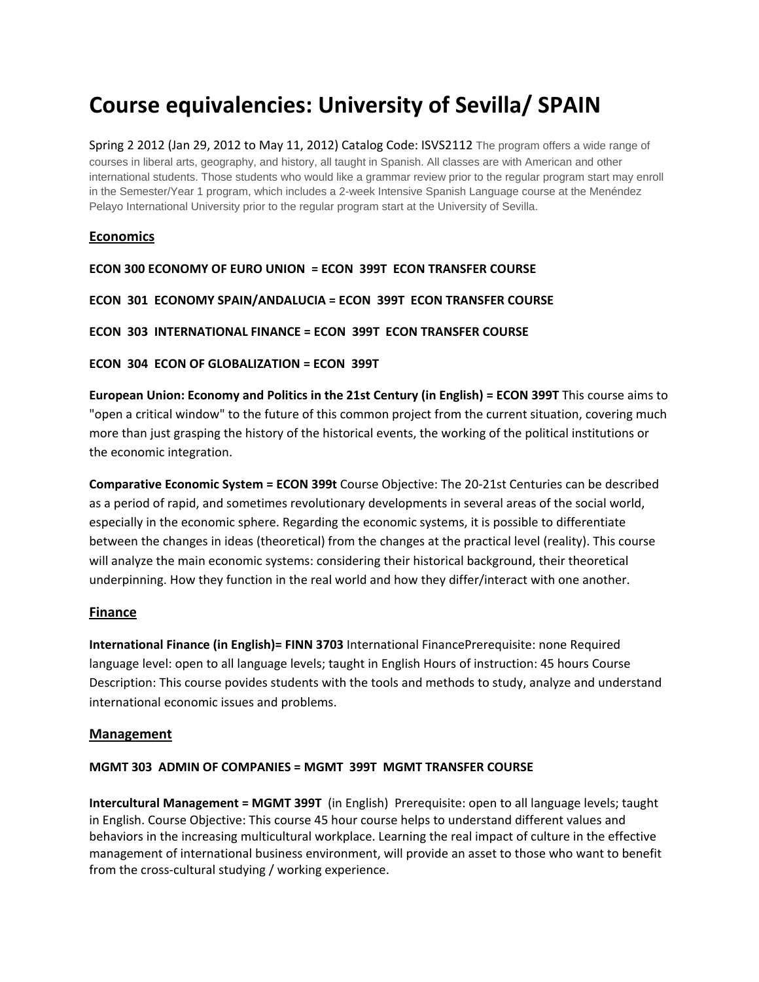# **Course equivalencies: University of Sevilla/ SPAIN**

Spring 2 2012 (Jan 29, 2012 to May 11, 2012) Catalog Code: ISVS2112 The program offers a wide range of courses in liberal arts, geography, and history, all taught in Spanish. All classes are with American and other international students. Those students who would like a grammar review prior to the regular program start may enroll in the Semester/Year 1 program, which includes a 2-week Intensive Spanish Language course at the Menéndez Pelayo International University prior to the regular program start at the University of Sevilla.

# **Economics**

```
ECON 300 ECONOMY OF EURO UNION  = ECON  399T  ECON TRANSFER COURSE    
ECON  301  ECONOMY SPAIN/ANDALUCIA = ECON  399T  ECON TRANSFER COURSE    
ECON  303  INTERNATIONAL FINANCE = ECON  399T  ECON TRANSFER COURSE    
ECON  304  ECON OF GLOBALIZATION = ECON  399T
```
**European Union: Economy and Politics in the 21st Century (in English) = ECON 399T** This course aims to "open a critical window" to the future of this common project from the current situation, covering much more than just grasping the history of the historical events, the working of the political institutions or the economic integration.

**Comparative Economic System = ECON 399t** Course Objective: The 20‐21st Centuries can be described as a period of rapid, and sometimes revolutionary developments in several areas of the social world, especially in the economic sphere. Regarding the economic systems, it is possible to differentiate between the changes in ideas (theoretical) from the changes at the practical level (reality). This course will analyze the main economic systems: considering their historical background, their theoretical underpinning. How they function in the real world and how they differ/interact with one another.

## **Finance**

**International Finance (in English)= FINN 3703** International FinancePrerequisite: none Required language level: open to all language levels; taught in English Hours of instruction: 45 hours Course Description: This course povides students with the tools and methods to study, analyze and understand international economic issues and problems.

#### **Management**

## **MGMT 303 ADMIN OF COMPANIES = MGMT 399T MGMT TRANSFER COURSE**

**Intercultural Management = MGMT 399T** (in English)Prerequisite: open to all language levels; taught in English. Course Objective: This course 45 hour course helps to understand different values and behaviors in the increasing multicultural workplace. Learning the real impact of culture in the effective management of international business environment, will provide an asset to those who want to benefit from the cross-cultural studying / working experience.